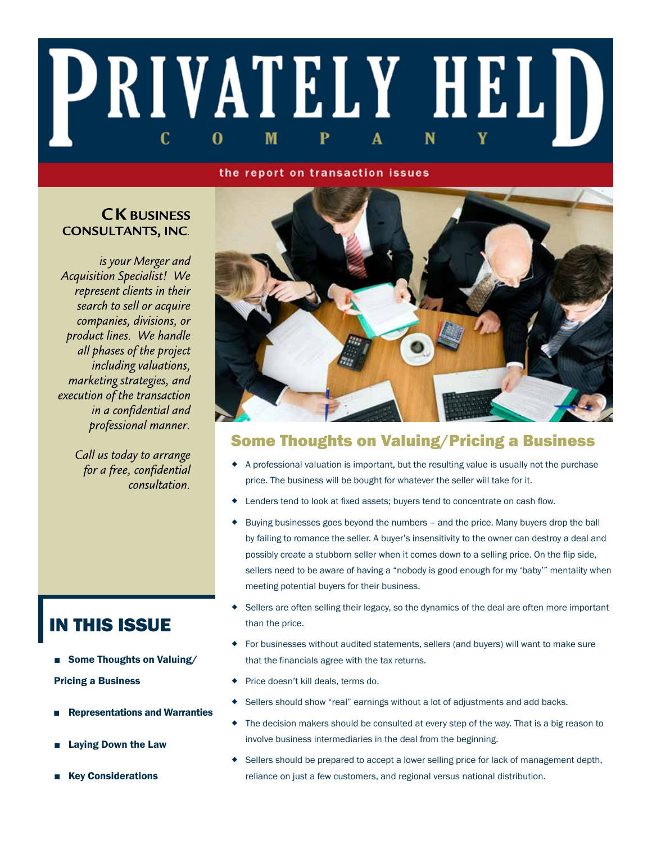# PRIVATELY HELD C M 0

#### the report on transaction issues

### **CK BUSINESS CONSULTANTS, INC.**

is your Merger and **Acquisition Specialist!** We represent clients in their search to sell or acquire companies, divisions, or product lines. We handle all phases of the project including valuations, marketing strategies, and execution of the transaction in a confidential and professional manner.

> Call us today to arrange for a free, confidential consultation.



### Some Thoughts on Valuing/Pricing a Business

- A professional valuation is important, but the resulting value is usually not the purchase price. The business will be bought for whatever the seller will take for it.
- Lenders tend to look at fixed assets; buyers tend to concentrate on cash flow.
- Buying businesses goes beyond the numbers and the price. Many buyers drop the ball by failing to romance the seller. A buyer's insensitivity to the owner can destroy a deal and possibly create a stubborn seller when it comes down to a selling price. On the flip side, sellers need to be aware of having a "nobody is good enough for my 'baby'" mentality when meeting potential buyers for their business.
- $\bullet$  Sellers are often selling their legacy, so the dynamics of the deal are often more important than the price.
- For businesses without audited statements, sellers (and buyers) will want to make sure that the financials agree with the tax returns.
- Price doesn't kill deals, terms do.
- Sellers should show "real" earnings without a lot of adjustments and add backs.
- The decision makers should be consulted at every step of the way. That is a big reason to involve business intermediaries in the deal from the beginning.
- Sellers should be prepared to accept a lower selling price for lack of management depth, reliance on just a few customers, and regional versus national distribution.

## IN THIS ISSUE

- Some Thoughts on Valuing/ Pricing a Business
- **Representations and Warranties**
- **Laying Down the Law**
- Key Considerations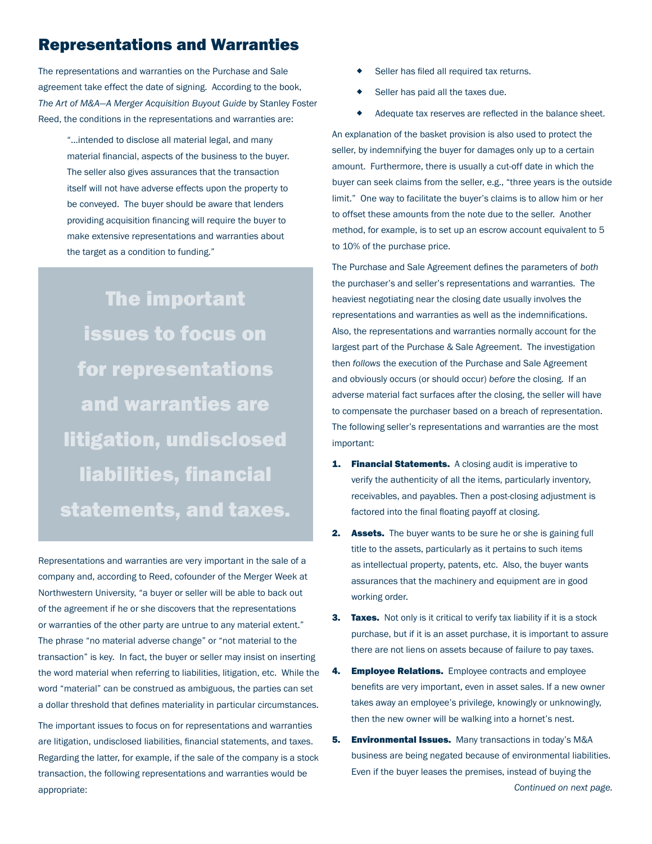### Representations and Warranties

The representations and warranties on the Purchase and Sale agreement take effect the date of signing. According to the book, *The Art of M&A—A Merger Acquisition Buyout Guide* by Stanley Foster Reed, the conditions in the representations and warranties are:

> "...intended to disclose all material legal, and many material financial, aspects of the business to the buyer. The seller also gives assurances that the transaction itself will not have adverse effects upon the property to be conveyed. The buyer should be aware that lenders providing acquisition financing will require the buyer to make extensive representations and warranties about the target as a condition to funding."

The important issues to focus on for representations and warranties are litigation, undisclosed liabilities, financial statements, and taxes.

Representations and warranties are very important in the sale of a company and, according to Reed, cofounder of the Merger Week at Northwestern University, "a buyer or seller will be able to back out of the agreement if he or she discovers that the representations or warranties of the other party are untrue to any material extent." The phrase "no material adverse change" or "not material to the transaction" is key. In fact, the buyer or seller may insist on inserting the word material when referring to liabilities, litigation, etc. While the word "material" can be construed as ambiguous, the parties can set a dollar threshold that defines materiality in particular circumstances.

The important issues to focus on for representations and warranties are litigation, undisclosed liabilities, financial statements, and taxes. Regarding the latter, for example, if the sale of the company is a stock transaction, the following representations and warranties would be appropriate:

- Seller has filed all required tax returns.
- Seller has paid all the taxes due.
- Adequate tax reserves are reflected in the balance sheet.

An explanation of the basket provision is also used to protect the seller, by indemnifying the buyer for damages only up to a certain amount. Furthermore, there is usually a cut-off date in which the buyer can seek claims from the seller, e.g., "three years is the outside limit." One way to facilitate the buyer's claims is to allow him or her to offset these amounts from the note due to the seller. Another method, for example, is to set up an escrow account equivalent to 5 to 10% of the purchase price.

The Purchase and Sale Agreement defines the parameters of *both* the purchaser's and seller's representations and warranties. The heaviest negotiating near the closing date usually involves the representations and warranties as well as the indemnifications. Also, the representations and warranties normally account for the largest part of the Purchase & Sale Agreement. The investigation then *follows* the execution of the Purchase and Sale Agreement and obviously occurs (or should occur) *before* the closing. If an adverse material fact surfaces after the closing, the seller will have to compensate the purchaser based on a breach of representation. The following seller's representations and warranties are the most important:

- **1. Financial Statements.** A closing audit is imperative to verify the authenticity of all the items, particularly inventory, receivables, and payables. Then a post-closing adjustment is factored into the final floating payoff at closing.
- 2. Assets. The buyer wants to be sure he or she is gaining full title to the assets, particularly as it pertains to such items as intellectual property, patents, etc. Also, the buyer wants assurances that the machinery and equipment are in good working order.
- **3. Taxes.** Not only is it critical to verify tax liability if it is a stock purchase, but if it is an asset purchase, it is important to assure there are not liens on assets because of failure to pay taxes.
- 4. **Employee Relations.** Employee contracts and employee benefits are very important, even in asset sales. If a new owner takes away an employee's privilege, knowingly or unknowingly, then the new owner will be walking into a hornet's nest.
- 5. Environmental Issues. Many transactions in today's M&A business are being negated because of environmental liabilities. Even if the buyer leases the premises, instead of buying the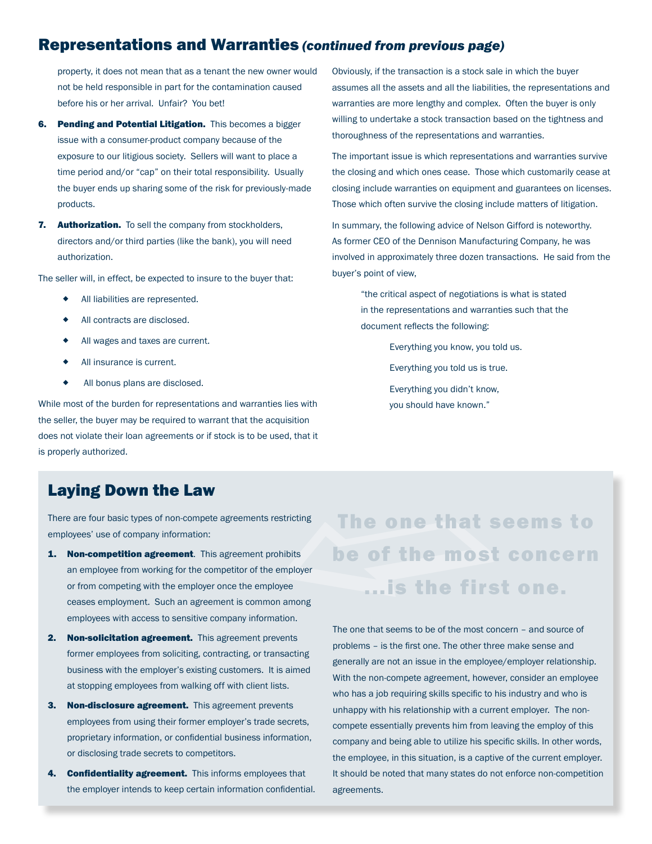### Representations and Warranties *(continued from previous page)*

property, it does not mean that as a tenant the new owner would not be held responsible in part for the contamination caused before his or her arrival. Unfair? You bet!

- 6. Pending and Potential Litigation. This becomes a bigger issue with a consumer-product company because of the exposure to our litigious society. Sellers will want to place a time period and/or "cap" on their total responsibility. Usually the buyer ends up sharing some of the risk for previously-made products.
- 7. Authorization. To sell the company from stockholders, directors and/or third parties (like the bank), you will need authorization.

The seller will, in effect, be expected to insure to the buyer that:

- All liabilities are represented.
- All contracts are disclosed.
- All wages and taxes are current.
- ◆ All insurance is current.
- All bonus plans are disclosed.

While most of the burden for representations and warranties lies with the seller, the buyer may be required to warrant that the acquisition does not violate their loan agreements or if stock is to be used, that it is properly authorized.

Obviously, if the transaction is a stock sale in which the buyer assumes all the assets and all the liabilities, the representations and warranties are more lengthy and complex. Often the buyer is only willing to undertake a stock transaction based on the tightness and thoroughness of the representations and warranties.

The important issue is which representations and warranties survive the closing and which ones cease. Those which customarily cease at closing include warranties on equipment and guarantees on licenses. Those which often survive the closing include matters of litigation.

In summary, the following advice of Nelson Gifford is noteworthy. As former CEO of the Dennison Manufacturing Company, he was involved in approximately three dozen transactions. He said from the buyer's point of view,

> "the critical aspect of negotiations is what is stated in the representations and warranties such that the document reflects the following:

> > Everything you know, you told us. Everything you told us is true. Everything you didn't know, you should have known."

### Laying Down the Law

There are four basic types of non-compete agreements restricting employees' use of company information:

- employees with access to sensitive company information. 1. Non-competition agreement. This agreement prohibits an employee from working for the competitor of the employer or from competing with the employer once the employee ceases employment. Such an agreement is common among
- 2. Non-solicitation agreement. This agreement prevents former employees from soliciting, contracting, or transacting business with the employer's existing customers. It is aimed at stopping employees from walking off with client lists.
- 3. Non-disclosure agreement. This agreement prevents employees from using their former employer's trade secrets, proprietary information, or confidential business information, or disclosing trade secrets to competitors.
- 4. **Confidentiality agreement.** This informs employees that the employer intends to keep certain information confidential.

stricting **The one that s**<br>hibits **be of the most**<br>wee ... is the firs The one that seems to be of the most concern ...is the first one.

> The one that seems to be of the most concern – and source of problems – is the first one. The other three make sense and generally are not an issue in the employee/employer relationship. With the non-compete agreement, however, consider an employee who has a job requiring skills specific to his industry and who is unhappy with his relationship with a current employer. The noncompete essentially prevents him from leaving the employ of this company and being able to utilize his specific skills. In other words, the employee, in this situation, is a captive of the current employer. It should be noted that many states do not enforce non-competition agreements.